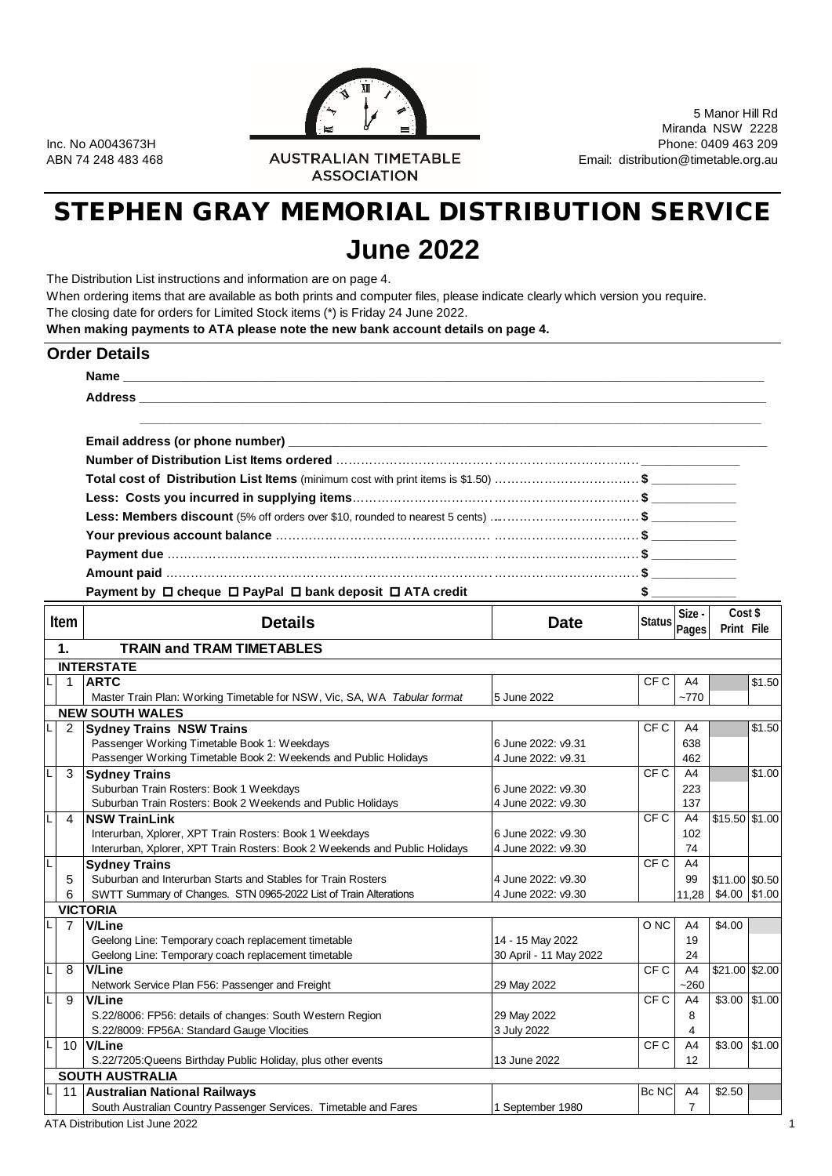RALIAN TIMETABLE<br>ASSOCIATION<br>ASSOCIATION

5 Manor Hill Rd Miranda NSW 2228 Inc. No A0043673H Phone: 0409 463 209<br>AUSTRALIAN TIMETABLE Enail: distribution@timetable.org.au ABN 74 248 463 468

# STEPHEN GRAY MEMORIAL DISTRIBUTION SERVICE **June 2022**

The Distribution List instructions and information are on page 4.

When ordering items that are available as both prints and computer files, please indicate clearly which version you require. The closing date for orders for Limited Stock items (\*) is Friday 24 June 2022.

**When making payments to ATA please note the new bank account details on page 4.**

|                | <b>Order Details</b>                                                                                                                                                                                                                 |                                          |                 |                |                       |        |  |  |  |  |  |  |
|----------------|--------------------------------------------------------------------------------------------------------------------------------------------------------------------------------------------------------------------------------------|------------------------------------------|-----------------|----------------|-----------------------|--------|--|--|--|--|--|--|
|                |                                                                                                                                                                                                                                      |                                          |                 |                |                       |        |  |  |  |  |  |  |
|                | Address <b>and the contract of the contract of the contract of the contract of the contract of the contract of the contract of the contract of the contract of the contract of the contract of the contract of the contract of t</b> |                                          |                 |                |                       |        |  |  |  |  |  |  |
|                |                                                                                                                                                                                                                                      |                                          |                 |                |                       |        |  |  |  |  |  |  |
|                |                                                                                                                                                                                                                                      |                                          |                 |                |                       |        |  |  |  |  |  |  |
|                |                                                                                                                                                                                                                                      |                                          |                 |                |                       |        |  |  |  |  |  |  |
|                | Total cost of Distribution List Items (minimum cost with print items is \$1.50) \$                                                                                                                                                   |                                          |                 |                |                       |        |  |  |  |  |  |  |
|                |                                                                                                                                                                                                                                      |                                          |                 |                |                       |        |  |  |  |  |  |  |
|                | Less: Members discount (5% off orders over \$10, rounded to nearest 5 cents) \$                                                                                                                                                      |                                          |                 |                |                       |        |  |  |  |  |  |  |
|                |                                                                                                                                                                                                                                      |                                          |                 |                |                       |        |  |  |  |  |  |  |
|                |                                                                                                                                                                                                                                      |                                          |                 |                |                       |        |  |  |  |  |  |  |
|                |                                                                                                                                                                                                                                      |                                          |                 |                |                       |        |  |  |  |  |  |  |
|                |                                                                                                                                                                                                                                      |                                          |                 |                |                       |        |  |  |  |  |  |  |
|                | Payment by □ cheque □ PayPal □ bank deposit □ ATA credit                                                                                                                                                                             |                                          | $\frac{1}{2}$   |                |                       |        |  |  |  |  |  |  |
| <b>Item</b>    | <b>Details</b>                                                                                                                                                                                                                       | <b>Date</b>                              | Status Pages    | Size -         | Cost \$<br>Print File |        |  |  |  |  |  |  |
| $\mathbf 1$ .  | <b>TRAIN and TRAM TIMETABLES</b>                                                                                                                                                                                                     |                                          |                 |                |                       |        |  |  |  |  |  |  |
|                | <b>INTERSTATE</b>                                                                                                                                                                                                                    |                                          |                 |                |                       |        |  |  |  |  |  |  |
| $\overline{1}$ | <b>ARTC</b>                                                                                                                                                                                                                          |                                          | CF C            | A4             |                       | \$1.50 |  |  |  |  |  |  |
|                | Master Train Plan: Working Timetable for NSW, Vic, SA, WA Tabular format                                                                                                                                                             | 5 June 2022                              |                 | $-770$         |                       |        |  |  |  |  |  |  |
|                | <b>NEW SOUTH WALES</b>                                                                                                                                                                                                               |                                          |                 |                |                       |        |  |  |  |  |  |  |
| 2              | <b>Sydney Trains NSW Trains</b>                                                                                                                                                                                                      |                                          | CF C            | A4             |                       | \$1.50 |  |  |  |  |  |  |
|                | Passenger Working Timetable Book 1: Weekdays                                                                                                                                                                                         | 6 June 2022: v9.31                       |                 | 638            |                       |        |  |  |  |  |  |  |
|                | Passenger Working Timetable Book 2: Weekends and Public Holidays                                                                                                                                                                     | 4 June 2022: v9.31                       |                 | 462            |                       |        |  |  |  |  |  |  |
| 3              | <b>Sydney Trains</b>                                                                                                                                                                                                                 |                                          | CF <sub>C</sub> | A4             |                       | \$1.00 |  |  |  |  |  |  |
|                | Suburban Train Rosters: Book 1 Weekdays                                                                                                                                                                                              | 6 June 2022: v9.30                       |                 | 223            |                       |        |  |  |  |  |  |  |
|                | Suburban Train Rosters: Book 2 Weekends and Public Holidays                                                                                                                                                                          | 4 June 2022: v9.30                       |                 | 137            |                       |        |  |  |  |  |  |  |
| 4              | <b>NSW TrainLink</b>                                                                                                                                                                                                                 |                                          | CF C            | A4             | $$15.50$ \$1.00       |        |  |  |  |  |  |  |
|                | Interurban, Xplorer, XPT Train Rosters: Book 1 Weekdays<br>Interurban, Xplorer, XPT Train Rosters: Book 2 Weekends and Public Holidays                                                                                               | 6 June 2022: v9.30<br>4 June 2022: v9.30 |                 | 102<br>74      |                       |        |  |  |  |  |  |  |
|                | <b>Sydney Trains</b>                                                                                                                                                                                                                 |                                          | CFC             | A4             |                       |        |  |  |  |  |  |  |
| 5              | Suburban and Interurban Starts and Stables for Train Rosters                                                                                                                                                                         | 4 June 2022: v9.30                       |                 | 99             | \$11.00 \$0.50        |        |  |  |  |  |  |  |
| 6              | SWTT Summary of Changes. STN 0965-2022 List of Train Alterations                                                                                                                                                                     | 4 June 2022: v9.30                       |                 | 11,28          | \$4.00 \$1.00         |        |  |  |  |  |  |  |
|                | <b>VICTORIA</b>                                                                                                                                                                                                                      |                                          |                 |                |                       |        |  |  |  |  |  |  |
| 7              | V/Line                                                                                                                                                                                                                               |                                          | O <sub>NC</sub> | A4             | \$4.00                |        |  |  |  |  |  |  |
|                | Geelong Line: Temporary coach replacement timetable                                                                                                                                                                                  | 14 - 15 May 2022                         |                 | 19             |                       |        |  |  |  |  |  |  |
|                | Geelong Line: Temporary coach replacement timetable                                                                                                                                                                                  | 30 April - 11 May 2022                   |                 | 24             |                       |        |  |  |  |  |  |  |
| 8<br>L.        | <b>V/Line</b>                                                                                                                                                                                                                        |                                          | CF <sub>C</sub> | A4             | \$21.00 \$2.00        |        |  |  |  |  |  |  |
|                | Network Service Plan F56: Passenger and Freight                                                                                                                                                                                      | 29 May 2022                              |                 | $-260$         |                       |        |  |  |  |  |  |  |
| 9              | <b>V/Line</b>                                                                                                                                                                                                                        |                                          | CF C            | A4             | $$3.00$ \$1.00        |        |  |  |  |  |  |  |
|                | S.22/8006: FP56: details of changes: South Western Region                                                                                                                                                                            | 29 May 2022                              |                 | 8              |                       |        |  |  |  |  |  |  |
|                | S.22/8009: FP56A: Standard Gauge Vlocities                                                                                                                                                                                           | 3 July 2022                              |                 | 4              |                       |        |  |  |  |  |  |  |
|                | 10 V/Line                                                                                                                                                                                                                            |                                          | CF <sub>C</sub> | A4             | \$3.00                | \$1.00 |  |  |  |  |  |  |
|                | S.22/7205: Queens Birthday Public Holiday, plus other events                                                                                                                                                                         | 13 June 2022                             |                 | 12             |                       |        |  |  |  |  |  |  |
|                | <b>SOUTH AUSTRALIA</b>                                                                                                                                                                                                               |                                          |                 |                |                       |        |  |  |  |  |  |  |
|                |                                                                                                                                                                                                                                      |                                          |                 | A4             | \$2.50                |        |  |  |  |  |  |  |
|                | 11 Australian National Railways<br>South Australian Country Passenger Services. Timetable and Fares                                                                                                                                  | 1 September 1980                         | Bc NC           | $\overline{7}$ |                       |        |  |  |  |  |  |  |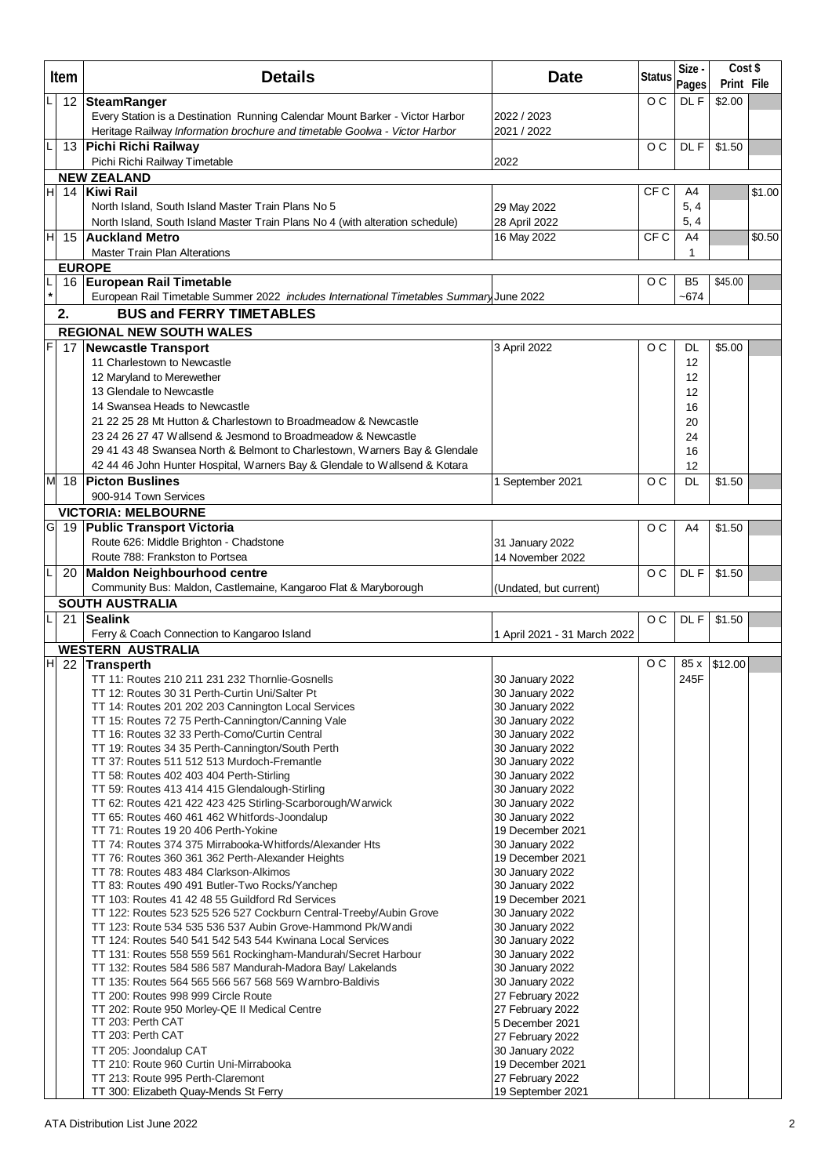|         | Item | <b>Details</b>                                                                                                          | <b>Date</b>                         | <b>Status</b>   | Size -<br>Pages | Cost \$<br>Print File |        |
|---------|------|-------------------------------------------------------------------------------------------------------------------------|-------------------------------------|-----------------|-----------------|-----------------------|--------|
|         | 12   | <b>SteamRanger</b>                                                                                                      |                                     | O <sub>C</sub>  | DL F            | \$2.00                |        |
|         |      | Every Station is a Destination Running Calendar Mount Barker - Victor Harbor                                            | 2022 / 2023                         |                 |                 |                       |        |
|         |      | Heritage Railway Information brochure and timetable Goolwa - Victor Harbor                                              | 2021 / 2022                         |                 |                 |                       |        |
| L       |      | 13 Pichi Richi Railway                                                                                                  |                                     | O <sub>C</sub>  | DL F            | \$1.50                |        |
|         |      | Pichi Richi Railway Timetable                                                                                           | 2022                                |                 |                 |                       |        |
|         |      | <b>NEW ZEALAND</b>                                                                                                      |                                     |                 |                 |                       |        |
| НI      |      | 14 Kiwi Rail                                                                                                            |                                     | CF C            | A4              |                       | \$1.00 |
|         |      | North Island, South Island Master Train Plans No 5                                                                      | 29 May 2022                         |                 | 5, 4            |                       |        |
|         |      | North Island, South Island Master Train Plans No 4 (with alteration schedule)                                           | 28 April 2022                       |                 | 5, 4            |                       |        |
| НI      | 15   | <b>Auckland Metro</b>                                                                                                   | 16 May 2022                         | CF <sub>C</sub> | A4              |                       | \$0.50 |
|         |      | <b>Master Train Plan Alterations</b>                                                                                    |                                     |                 | 1               |                       |        |
| L       |      | <b>EUROPE</b><br>16 European Rail Timetable                                                                             |                                     | O <sub>C</sub>  | B <sub>5</sub>  | \$45.00               |        |
| $\star$ |      | European Rail Timetable Summer 2022 includes International Timetables Summary June 2022                                 |                                     |                 | $-674$          |                       |        |
|         | 2.   | <b>BUS and FERRY TIMETABLES</b>                                                                                         |                                     |                 |                 |                       |        |
|         |      | <b>REGIONAL NEW SOUTH WALES</b>                                                                                         |                                     |                 |                 |                       |        |
| F       |      | 17 Newcastle Transport                                                                                                  | 3 April 2022                        | O <sub>C</sub>  | DL              | \$5.00                |        |
|         |      | 11 Charlestown to Newcastle                                                                                             |                                     |                 | 12              |                       |        |
|         |      | 12 Maryland to Merewether                                                                                               |                                     |                 | 12              |                       |        |
|         |      | 13 Glendale to Newcastle                                                                                                |                                     |                 | 12              |                       |        |
|         |      | 14 Swansea Heads to Newcastle                                                                                           |                                     |                 | 16              |                       |        |
|         |      | 21 22 25 28 Mt Hutton & Charlestown to Broadmeadow & Newcastle                                                          |                                     |                 | 20              |                       |        |
|         |      | 23 24 26 27 47 Wallsend & Jesmond to Broadmeadow & Newcastle                                                            |                                     |                 | 24              |                       |        |
|         |      | 29 41 43 48 Swansea North & Belmont to Charlestown, Warners Bay & Glendale                                              |                                     |                 | 16              |                       |        |
|         |      | 42 44 46 John Hunter Hospital, Warners Bay & Glendale to Wallsend & Kotara<br><b>Picton Buslines</b>                    |                                     | O <sub>C</sub>  | 12<br>DL        | \$1.50                |        |
|         | M 18 | 900-914 Town Services                                                                                                   | 1 September 2021                    |                 |                 |                       |        |
|         |      | <b>VICTORIA: MELBOURNE</b>                                                                                              |                                     |                 |                 |                       |        |
|         |      | G 19 Public Transport Victoria                                                                                          |                                     | O <sub>C</sub>  | A4              | \$1.50                |        |
|         |      | Route 626: Middle Brighton - Chadstone                                                                                  | 31 January 2022                     |                 |                 |                       |        |
|         |      | Route 788: Frankston to Portsea                                                                                         | 14 November 2022                    |                 |                 |                       |        |
|         | 20   | <b>Maldon Neighbourhood centre</b>                                                                                      |                                     | O <sub>C</sub>  | DL F            | \$1.50                |        |
|         |      | Community Bus: Maldon, Castlemaine, Kangaroo Flat & Maryborough                                                         | (Undated, but current)              |                 |                 |                       |        |
|         |      | <b>SOUTH AUSTRALIA</b>                                                                                                  |                                     |                 |                 |                       |        |
|         | 21   | <b>Sealink</b>                                                                                                          |                                     | O <sub>C</sub>  | DL F            | \$1.50                |        |
|         |      | Ferry & Coach Connection to Kangaroo Island                                                                             | 1 April 2021 - 31 March 2022        |                 |                 |                       |        |
|         |      | <b>WESTERN AUSTRALIA</b><br>$H$ 22 Transperth                                                                           |                                     | o c             | 85 x            | \$12.00               |        |
|         |      | TT 11: Routes 210 211 231 232 Thornlie-Gosnells                                                                         | 30 January 2022                     |                 | 245F            |                       |        |
|         |      | TT 12: Routes 30 31 Perth-Curtin Uni/Salter Pt                                                                          | 30 January 2022                     |                 |                 |                       |        |
|         |      | TT 14: Routes 201 202 203 Cannington Local Services                                                                     | 30 January 2022                     |                 |                 |                       |        |
|         |      | TT 15: Routes 72 75 Perth-Cannington/Canning Vale                                                                       | 30 January 2022                     |                 |                 |                       |        |
|         |      | TT 16: Routes 32 33 Perth-Como/Curtin Central                                                                           | 30 January 2022                     |                 |                 |                       |        |
|         |      | TT 19: Routes 34 35 Perth-Cannington/South Perth<br>TT 37: Routes 511 512 513 Murdoch-Fremantle                         | 30 January 2022<br>30 January 2022  |                 |                 |                       |        |
|         |      | TT 58: Routes 402 403 404 Perth-Stirling                                                                                | 30 January 2022                     |                 |                 |                       |        |
|         |      | TT 59: Routes 413 414 415 Glendalough-Stirling                                                                          | 30 January 2022                     |                 |                 |                       |        |
|         |      | TT 62: Routes 421 422 423 425 Stirling-Scarborough/Warwick                                                              | 30 January 2022                     |                 |                 |                       |        |
|         |      | TT 65: Routes 460 461 462 Whitfords-Joondalup                                                                           | 30 January 2022                     |                 |                 |                       |        |
|         |      | TT 71: Routes 19 20 406 Perth-Yokine                                                                                    | 19 December 2021                    |                 |                 |                       |        |
|         |      | TT 74: Routes 374 375 Mirrabooka-Whitfords/Alexander Hts<br>TT 76: Routes 360 361 362 Perth-Alexander Heights           | 30 January 2022<br>19 December 2021 |                 |                 |                       |        |
|         |      | TT 78: Routes 483 484 Clarkson-Alkimos                                                                                  | 30 January 2022                     |                 |                 |                       |        |
|         |      | TT 83: Routes 490 491 Butler-Two Rocks/Yanchep                                                                          | 30 January 2022                     |                 |                 |                       |        |
|         |      | TT 103: Routes 41 42 48 55 Guildford Rd Services                                                                        | 19 December 2021                    |                 |                 |                       |        |
|         |      | TT 122: Routes 523 525 526 527 Cockburn Central-Treeby/Aubin Grove                                                      | 30 January 2022                     |                 |                 |                       |        |
|         |      | TT 123: Route 534 535 536 537 Aubin Grove-Hammond Pk/Wandi<br>TT 124: Routes 540 541 542 543 544 Kwinana Local Services | 30 January 2022<br>30 January 2022  |                 |                 |                       |        |
|         |      | TT 131: Routes 558 559 561 Rockingham-Mandurah/Secret Harbour                                                           | 30 January 2022                     |                 |                 |                       |        |
|         |      | TT 132: Routes 584 586 587 Mandurah-Madora Bay/ Lakelands                                                               | 30 January 2022                     |                 |                 |                       |        |
|         |      | TT 135: Routes 564 565 566 567 568 569 Warnbro-Baldivis                                                                 | 30 January 2022                     |                 |                 |                       |        |
|         |      | TT 200: Routes 998 999 Circle Route                                                                                     | 27 February 2022                    |                 |                 |                       |        |
|         |      | TT 202: Route 950 Morley-QE II Medical Centre                                                                           | 27 February 2022                    |                 |                 |                       |        |
|         |      | TT 203: Perth CAT<br>TT 203: Perth CAT                                                                                  | 5 December 2021                     |                 |                 |                       |        |
|         |      | TT 205: Joondalup CAT                                                                                                   | 27 February 2022<br>30 January 2022 |                 |                 |                       |        |
|         |      | TT 210: Route 960 Curtin Uni-Mirrabooka                                                                                 | 19 December 2021                    |                 |                 |                       |        |
|         |      | TT 213: Route 995 Perth-Claremont                                                                                       | 27 February 2022                    |                 |                 |                       |        |
|         |      | TT 300: Elizabeth Quay-Mends St Ferry                                                                                   | 19 September 2021                   |                 |                 |                       |        |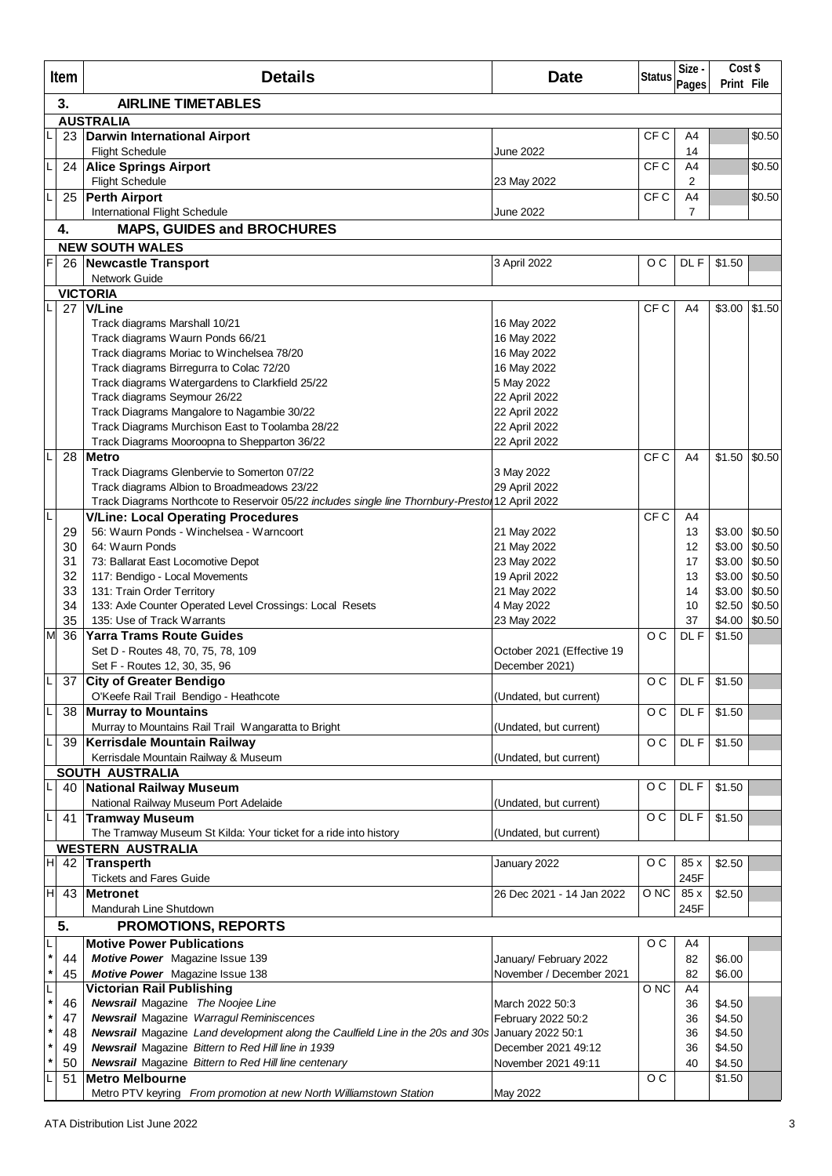|                    | Item     | <b>Details</b>                                                                                  | <b>Date</b>                | <b>Status</b>   | Size -               | Cost \$<br>Print File |                  |
|--------------------|----------|-------------------------------------------------------------------------------------------------|----------------------------|-----------------|----------------------|-----------------------|------------------|
|                    | 3.       | <b>AIRLINE TIMETABLES</b>                                                                       |                            |                 | Pages                |                       |                  |
|                    |          | <b>AUSTRALIA</b>                                                                                |                            |                 |                      |                       |                  |
|                    | 23       | <b>Darwin International Airport</b>                                                             |                            | CF C            | A4                   |                       | \$0.50           |
|                    |          | <b>Flight Schedule</b>                                                                          | June 2022                  |                 | 14                   |                       |                  |
| L                  |          | 24 Alice Springs Airport                                                                        |                            | CF C            | A4                   |                       | \$0.50           |
| L                  |          | <b>Flight Schedule</b>                                                                          | 23 May 2022                | CF <sub>C</sub> | $\overline{2}$<br>A4 |                       |                  |
|                    | 25       | <b>Perth Airport</b><br><b>International Flight Schedule</b>                                    | June 2022                  |                 | 7                    |                       | \$0.50           |
|                    | 4.       | <b>MAPS, GUIDES and BROCHURES</b>                                                               |                            |                 |                      |                       |                  |
|                    |          | <b>NEW SOUTH WALES</b>                                                                          |                            |                 |                      |                       |                  |
| F                  | 26       | <b>Newcastle Transport</b>                                                                      | 3 April 2022               | $\circ$ $\circ$ | DL F                 | \$1.50                |                  |
|                    |          | <b>Network Guide</b>                                                                            |                            |                 |                      |                       |                  |
|                    | 27       | <b>VICTORIA</b><br>V/Line                                                                       |                            | CF C            | A4                   | \$3.00                | \$1.50           |
|                    |          | Track diagrams Marshall 10/21                                                                   | 16 May 2022                |                 |                      |                       |                  |
|                    |          | Track diagrams Waurn Ponds 66/21                                                                | 16 May 2022                |                 |                      |                       |                  |
|                    |          | Track diagrams Moriac to Winchelsea 78/20                                                       | 16 May 2022                |                 |                      |                       |                  |
|                    |          | Track diagrams Birregurra to Colac 72/20                                                        | 16 May 2022                |                 |                      |                       |                  |
|                    |          | Track diagrams Watergardens to Clarkfield 25/22                                                 | 5 May 2022                 |                 |                      |                       |                  |
|                    |          | Track diagrams Seymour 26/22                                                                    | 22 April 2022              |                 |                      |                       |                  |
|                    |          | Track Diagrams Mangalore to Nagambie 30/22                                                      | 22 April 2022              |                 |                      |                       |                  |
|                    |          | Track Diagrams Murchison East to Toolamba 28/22                                                 | 22 April 2022              |                 |                      |                       |                  |
|                    |          | Track Diagrams Mooroopna to Shepparton 36/22                                                    | 22 April 2022              |                 |                      |                       |                  |
| L                  | 28       | <b>Metro</b>                                                                                    |                            | CF <sub>C</sub> | A <sub>4</sub>       | \$1.50                | \$0.50           |
|                    |          | Track Diagrams Glenbervie to Somerton 07/22                                                     | 3 May 2022                 |                 |                      |                       |                  |
|                    |          | Track diagrams Albion to Broadmeadows 23/22                                                     | 29 April 2022              |                 |                      |                       |                  |
| L                  |          | Track Diagrams Northcote to Reservoir 05/22 includes single line Thornbury-Presto 12 April 2022 |                            |                 |                      |                       |                  |
|                    |          | <b>V/Line: Local Operating Procedures</b>                                                       |                            | CF <sub>C</sub> | A4                   |                       |                  |
|                    | 29       | 56: Waurn Ponds - Winchelsea - Warncoort                                                        | 21 May 2022                |                 | 13                   | \$3.00                | \$0.50<br>\$0.50 |
|                    | 30<br>31 | 64: Waurn Ponds                                                                                 | 21 May 2022<br>23 May 2022 |                 | 12<br>17             | \$3.00<br>\$3.00      | \$0.50           |
|                    | 32       | 73: Ballarat East Locomotive Depot<br>117: Bendigo - Local Movements                            | 19 April 2022              |                 | 13                   | \$3.00                | \$0.50           |
|                    | 33       | 131: Train Order Territory                                                                      | 21 May 2022                |                 | 14                   | \$3.00                | \$0.50           |
|                    | 34       | 133: Axle Counter Operated Level Crossings: Local Resets                                        | 4 May 2022                 |                 | 10                   | \$2.50                | \$0.50           |
|                    | 35       | 135: Use of Track Warrants                                                                      | 23 May 2022                |                 | 37                   | \$4.00                | \$0.50           |
| M                  | 36       | <b>Yarra Trams Route Guides</b>                                                                 |                            | O <sub>C</sub>  | DL F                 | \$1.50                |                  |
|                    |          | Set D - Routes 48, 70, 75, 78, 109                                                              | October 2021 (Effective 19 |                 |                      |                       |                  |
|                    |          | Set F - Routes 12, 30, 35, 96                                                                   | December 2021)             |                 |                      |                       |                  |
| L                  |          | 37 City of Greater Bendigo                                                                      |                            | $\circ$ $\circ$ | DL F                 | \$1.50                |                  |
|                    |          | O'Keefe Rail Trail Bendigo - Heathcote                                                          | (Undated, but current)     |                 |                      |                       |                  |
|                    | 38       | <b>Murray to Mountains</b>                                                                      |                            | O <sub>C</sub>  | DL F                 | \$1.50                |                  |
|                    |          | Murray to Mountains Rail Trail Wangaratta to Bright                                             | (Undated, but current)     |                 |                      |                       |                  |
| L                  | 39       | Kerrisdale Mountain Railway                                                                     |                            | $\circ$ $\circ$ | DL F                 | \$1.50                |                  |
|                    |          | Kerrisdale Mountain Railway & Museum                                                            | (Undated, but current)     |                 |                      |                       |                  |
| L                  | 40       | <b>SOUTH AUSTRALIA</b><br><b>National Railway Museum</b>                                        |                            | o c             | DL F                 | \$1.50                |                  |
|                    |          | National Railway Museum Port Adelaide                                                           | (Undated, but current)     |                 |                      |                       |                  |
| L                  | 41       | <b>Tramway Museum</b>                                                                           |                            | o c             | DL F                 | \$1.50                |                  |
|                    |          | The Tramway Museum St Kilda: Your ticket for a ride into history                                | (Undated, but current)     |                 |                      |                       |                  |
|                    |          | <b>WESTERN AUSTRALIA</b>                                                                        |                            |                 |                      |                       |                  |
| H                  |          | 42 Transperth                                                                                   | January 2022               | O <sub>C</sub>  | 85x                  | \$2.50                |                  |
|                    |          | <b>Tickets and Fares Guide</b>                                                                  |                            |                 | 245F                 |                       |                  |
| H                  | 43       | <b>Metronet</b>                                                                                 | 26 Dec 2021 - 14 Jan 2022  | O NC            | 85x                  | \$2.50                |                  |
|                    |          | Mandurah Line Shutdown                                                                          |                            |                 | 245F                 |                       |                  |
|                    | 5.       | <b>PROMOTIONS, REPORTS</b>                                                                      |                            |                 |                      |                       |                  |
| L                  |          | <b>Motive Power Publications</b>                                                                |                            | O <sub>C</sub>  | A4                   |                       |                  |
| $\star$            | 44       | <b>Motive Power</b> Magazine Issue 139                                                          | January/ February 2022     |                 | 82                   | \$6.00                |                  |
| $^{\ast}$          | 45       | Motive Power Magazine Issue 138                                                                 | November / December 2021   |                 | 82                   | \$6.00                |                  |
| L                  |          | <b>Victorian Rail Publishing</b>                                                                |                            | O NC            | A4                   |                       |                  |
| $\pmb{\ast}$       | 46       | <b>Newsrail</b> Magazine The Noojee Line                                                        | March 2022 50:3            |                 | 36                   | \$4.50                |                  |
| $\star$            | 47       | <b>Newsrail Magazine Warragul Reminiscences</b>                                                 | February 2022 50:2         |                 | 36                   | \$4.50                |                  |
| $\star$<br>$\star$ | 48       | Newsrail Magazine Land development along the Caulfield Line in the 20s and 30s                  | January 2022 50:1          |                 | 36                   | \$4.50                |                  |
| *                  | 49       | <b>Newsrail</b> Magazine Bittern to Red Hill line in 1939                                       | December 2021 49:12        |                 | 36                   | \$4.50                |                  |
| L                  | 50<br>51 | <b>Newsrail</b> Magazine Bittern to Red Hill line centenary<br><b>Metro Melbourne</b>           | November 2021 49:11        | $\circ$ $\circ$ | 40                   | \$4.50<br>\$1.50      |                  |
|                    |          | Metro PTV keyring From promotion at new North Williamstown Station                              | May 2022                   |                 |                      |                       |                  |
|                    |          |                                                                                                 |                            |                 |                      |                       |                  |